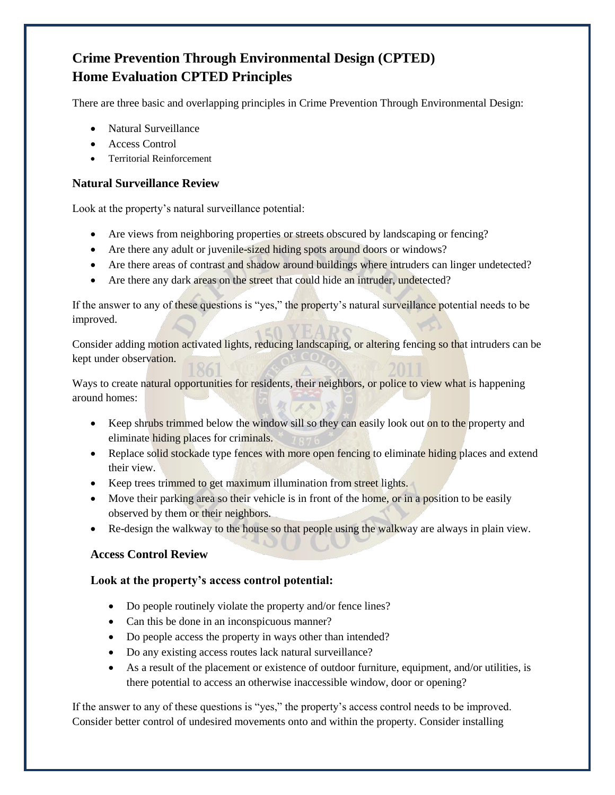# **Crime Prevention Through Environmental Design (CPTED) Home Evaluation CPTED Principles**

There are three basic and overlapping principles in Crime Prevention Through Environmental Design:

- Natural Surveillance
- Access Control
- **•** Territorial Reinforcement

## **Natural Surveillance Review**

Look at the property's natural surveillance potential:

- Are views from neighboring properties or streets obscured by landscaping or fencing?
- Are there any adult or juvenile-sized hiding spots around doors or windows?
- Are there areas of contrast and shadow around buildings where intruders can linger undetected?
- Are there any dark areas on the street that could hide an intruder, undetected?

If the answer to any of these questions is "yes," the property's natural surveillance potential needs to be improved.

Consider adding motion activated lights, reducing landscaping, or altering fencing so that intruders can be kept under observation.

Ways to create natural opportunities for residents, their neighbors, or police to view what is happening around homes:

- Keep shrubs trimmed below the window sill so they can easily look out on to the property and eliminate hiding places for criminals.
- Replace solid stockade type fences with more open fencing to eliminate hiding places and extend their view.
- Keep trees trimmed to get maximum illumination from street lights.
- Move their parking area so their vehicle is in front of the home, or in a position to be easily observed by them or their neighbors.
- Re-design the walkway to the house so that people using the walkway are always in plain view.

### **Access Control Review**

### **Look at the property's access control potential:**

- Do people routinely violate the property and/or fence lines?
- Can this be done in an inconspicuous manner?
- Do people access the property in ways other than intended?
- Do any existing access routes lack natural surveillance?
- As a result of the placement or existence of outdoor furniture, equipment, and/or utilities, is there potential to access an otherwise inaccessible window, door or opening?

If the answer to any of these questions is "yes," the property's access control needs to be improved. Consider better control of undesired movements onto and within the property. Consider installing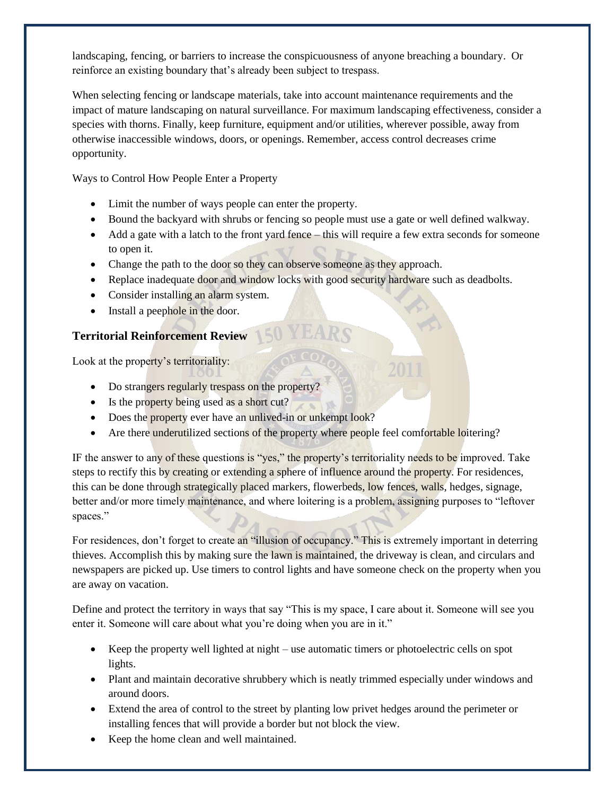landscaping, fencing, or barriers to increase the conspicuousness of anyone breaching a boundary. Or reinforce an existing boundary that's already been subject to trespass.

When selecting fencing or landscape materials, take into account maintenance requirements and the impact of mature landscaping on natural surveillance. For maximum landscaping effectiveness, consider a species with thorns. Finally, keep furniture, equipment and/or utilities, wherever possible, away from otherwise inaccessible windows, doors, or openings. Remember, access control decreases crime opportunity.

Ways to Control How People Enter a Property

- Limit the number of ways people can enter the property.
- Bound the backyard with shrubs or fencing so people must use a gate or well defined walkway.
- Add a gate with a latch to the front yard fence this will require a few extra seconds for someone to open it.
- Change the path to the door so they can observe someone as they approach.
- Replace inadequate door and window locks with good security hardware such as deadbolts.
- Consider installing an alarm system.
- Install a peephole in the door.

## **Territorial Reinforcement Review**

Look at the property's territoriality:

- Do strangers regularly trespass on the property?
- Is the property being used as a short cut?
- Does the property ever have an unlived-in or unkempt look?
- Are there underutilized sections of the property where people feel comfortable loitering?

IF the answer to any of these questions is "yes," the property's territoriality needs to be improved. Take steps to rectify this by creating or extending a sphere of influence around the property. For residences, this can be done through strategically placed markers, flowerbeds, low fences, walls, hedges, signage, better and/or more timely maintenance, and where loitering is a problem, assigning purposes to "leftover spaces."

For residences, don't forget to create an "illusion of occupancy." This is extremely important in deterring thieves. Accomplish this by making sure the lawn is maintained, the driveway is clean, and circulars and newspapers are picked up. Use timers to control lights and have someone check on the property when you are away on vacation.

Define and protect the territory in ways that say "This is my space, I care about it. Someone will see you enter it. Someone will care about what you're doing when you are in it."

- Keep the property well lighted at night use automatic timers or photoelectric cells on spot lights.
- Plant and maintain decorative shrubbery which is neatly trimmed especially under windows and around doors.
- Extend the area of control to the street by planting low privet hedges around the perimeter or installing fences that will provide a border but not block the view.
- Keep the home clean and well maintained.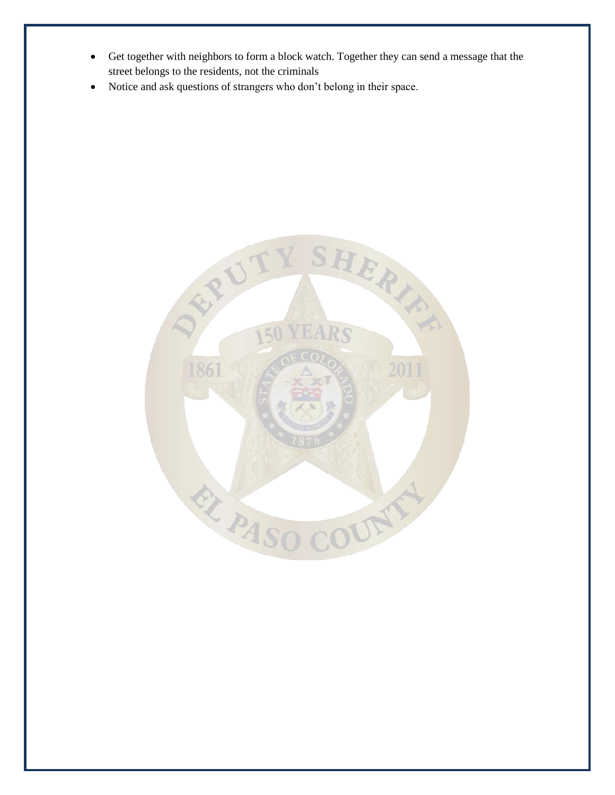- Get together with neighbors to form a block watch. Together they can send a message that the street belongs to the residents, not the criminals
- Notice and ask questions of strangers who don't belong in their space.

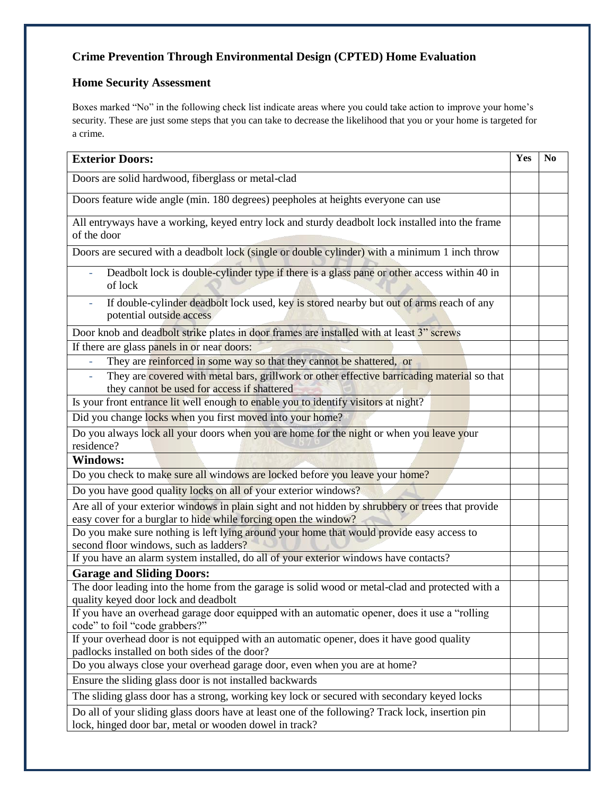## **Crime Prevention Through Environmental Design (CPTED) Home Evaluation**

## **Home Security Assessment**

Boxes marked "No" in the following check list indicate areas where you could take action to improve your home's security. These are just some steps that you can take to decrease the likelihood that you or your home is targeted for a crime.

| <b>Exterior Doors:</b>                                                                                                                                               | Yes | N <sub>0</sub> |
|----------------------------------------------------------------------------------------------------------------------------------------------------------------------|-----|----------------|
| Doors are solid hardwood, fiberglass or metal-clad                                                                                                                   |     |                |
| Doors feature wide angle (min. 180 degrees) peepholes at heights everyone can use                                                                                    |     |                |
| All entryways have a working, keyed entry lock and sturdy deadbolt lock installed into the frame<br>of the door                                                      |     |                |
| Doors are secured with a deadbolt lock (single or double cylinder) with a minimum 1 inch throw                                                                       |     |                |
| Deadbolt lock is double-cylinder type if there is a glass pane or other access within 40 in<br>of lock                                                               |     |                |
| If double-cylinder deadbolt lock used, key is stored nearby but out of arms reach of any<br>potential outside access                                                 |     |                |
| Door knob and deadbolt strike plates in door frames are installed with at least 3" screws                                                                            |     |                |
| If there are glass panels in or near doors:                                                                                                                          |     |                |
| They are reinforced in some way so that they cannot be shattered, or                                                                                                 |     |                |
| They are covered with metal bars, grillwork or other effective barricading material so that<br>they cannot be used for access if shattered                           |     |                |
| Is your front entrance lit well enough to enable you to identify visitors at night?                                                                                  |     |                |
| Did you change locks when you first moved into your home?                                                                                                            |     |                |
| Do you always lock all your doors when you are home for the night or when you leave your<br>residence?                                                               |     |                |
| <b>Windows:</b>                                                                                                                                                      |     |                |
| Do you check to make sure all windows are locked before you leave your home?                                                                                         |     |                |
| Do you have good quality locks on all of your exterior windows?                                                                                                      |     |                |
| Are all of your exterior windows in plain sight and not hidden by shrubbery or trees that provide<br>easy cover for a burglar to hide while forcing open the window? |     |                |
| Do you make sure nothing is left lying around your home that would provide easy access to                                                                            |     |                |
| second floor windows, such as ladders?                                                                                                                               |     |                |
| If you have an alarm system installed, do all of your exterior windows have contacts?                                                                                |     |                |
| <b>Garage and Sliding Doors:</b>                                                                                                                                     |     |                |
| The door leading into the home from the garage is solid wood or metal-clad and protected with a                                                                      |     |                |
| quality keyed door lock and deadbolt                                                                                                                                 |     |                |
| If you have an overhead garage door equipped with an automatic opener, does it use a "rolling<br>code" to foil "code grabbers?"                                      |     |                |
| If your overhead door is not equipped with an automatic opener, does it have good quality                                                                            |     |                |
| padlocks installed on both sides of the door?                                                                                                                        |     |                |
| Do you always close your overhead garage door, even when you are at home?                                                                                            |     |                |
| Ensure the sliding glass door is not installed backwards                                                                                                             |     |                |
| The sliding glass door has a strong, working key lock or secured with secondary keyed locks                                                                          |     |                |
| Do all of your sliding glass doors have at least one of the following? Track lock, insertion pin<br>lock, hinged door bar, metal or wooden dowel in track?           |     |                |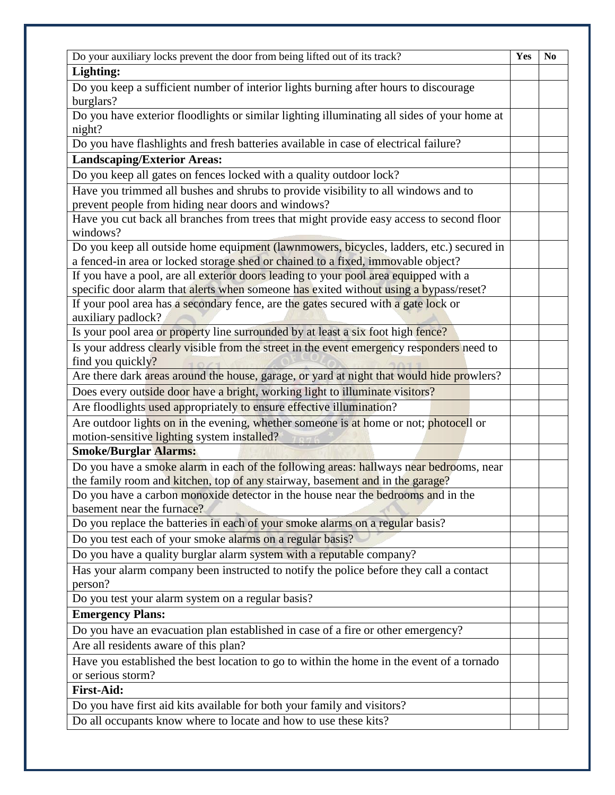| Do your auxiliary locks prevent the door from being lifted out of its track?                                                                                      | Yes | N <sub>0</sub> |
|-------------------------------------------------------------------------------------------------------------------------------------------------------------------|-----|----------------|
| Lighting:                                                                                                                                                         |     |                |
| Do you keep a sufficient number of interior lights burning after hours to discourage                                                                              |     |                |
| burglars?                                                                                                                                                         |     |                |
| Do you have exterior floodlights or similar lighting illuminating all sides of your home at                                                                       |     |                |
| night?                                                                                                                                                            |     |                |
| Do you have flashlights and fresh batteries available in case of electrical failure?                                                                              |     |                |
| <b>Landscaping/Exterior Areas:</b>                                                                                                                                |     |                |
| Do you keep all gates on fences locked with a quality outdoor lock?                                                                                               |     |                |
| Have you trimmed all bushes and shrubs to provide visibility to all windows and to                                                                                |     |                |
| prevent people from hiding near doors and windows?                                                                                                                |     |                |
| Have you cut back all branches from trees that might provide easy access to second floor                                                                          |     |                |
| windows?                                                                                                                                                          |     |                |
| Do you keep all outside home equipment (lawnmowers, bicycles, ladders, etc.) secured in                                                                           |     |                |
| a fenced-in area or locked storage shed or chained to a fixed, immovable object?                                                                                  |     |                |
| If you have a pool, are all exterior doors leading to your pool area equipped with a                                                                              |     |                |
| specific door alarm that alerts when someone has exited without using a bypass/reset?                                                                             |     |                |
| If your pool area has a secondary fence, are the gates secured with a gate lock or                                                                                |     |                |
| auxiliary padlock?                                                                                                                                                |     |                |
| Is your pool area or property line surrounded by at least a six foot high fence?                                                                                  |     |                |
| Is your address clearly visible from the street in the event emergency responders need to                                                                         |     |                |
| find you quickly?                                                                                                                                                 |     |                |
| Are there dark areas around the house, garage, or yard at night that would hide prowlers?                                                                         |     |                |
| Does every outside door have a bright, working light to illuminate visitors?                                                                                      |     |                |
| Are floodlights used appropriately to ensure effective illumination?                                                                                              |     |                |
| Are outdoor lights on in the evening, whether someone is at home or not; photocell or                                                                             |     |                |
| motion-sensitive lighting system installed?                                                                                                                       |     |                |
| <b>Smoke/Burglar Alarms:</b>                                                                                                                                      |     |                |
| Do you have a smoke alarm in each of the following areas: hallways near bedrooms, near                                                                            |     |                |
| the family room and kitchen, top of any stairway, basement and in the garage?<br>Do you have a carbon monoxide detector in the house near the bedrooms and in the |     |                |
| basement near the furnace?                                                                                                                                        |     |                |
| Do you replace the batteries in each of your smoke alarms on a regular basis?                                                                                     |     |                |
| Do you test each of your smoke alarms on a regular basis?                                                                                                         |     |                |
| Do you have a quality burglar alarm system with a reputable company?                                                                                              |     |                |
|                                                                                                                                                                   |     |                |
| Has your alarm company been instructed to notify the police before they call a contact<br>person?                                                                 |     |                |
| Do you test your alarm system on a regular basis?                                                                                                                 |     |                |
| <b>Emergency Plans:</b>                                                                                                                                           |     |                |
| Do you have an evacuation plan established in case of a fire or other emergency?                                                                                  |     |                |
| Are all residents aware of this plan?                                                                                                                             |     |                |
| Have you established the best location to go to within the home in the event of a tornado                                                                         |     |                |
| or serious storm?                                                                                                                                                 |     |                |
| <b>First-Aid:</b>                                                                                                                                                 |     |                |
| Do you have first aid kits available for both your family and visitors?                                                                                           |     |                |
| Do all occupants know where to locate and how to use these kits?                                                                                                  |     |                |
|                                                                                                                                                                   |     |                |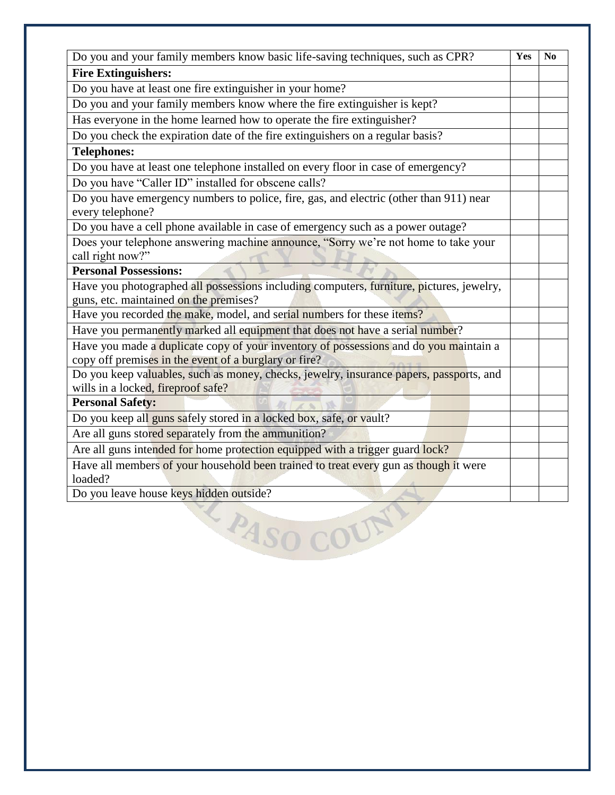| Do you and your family members know basic life-saving techniques, such as CPR?                                                                 | Yes | N <sub>0</sub> |
|------------------------------------------------------------------------------------------------------------------------------------------------|-----|----------------|
| <b>Fire Extinguishers:</b>                                                                                                                     |     |                |
| Do you have at least one fire extinguisher in your home?                                                                                       |     |                |
| Do you and your family members know where the fire extinguisher is kept?                                                                       |     |                |
| Has everyone in the home learned how to operate the fire extinguisher?                                                                         |     |                |
| Do you check the expiration date of the fire extinguishers on a regular basis?                                                                 |     |                |
| <b>Telephones:</b>                                                                                                                             |     |                |
| Do you have at least one telephone installed on every floor in case of emergency?                                                              |     |                |
| Do you have "Caller ID" installed for obscene calls?                                                                                           |     |                |
| Do you have emergency numbers to police, fire, gas, and electric (other than 911) near<br>every telephone?                                     |     |                |
| Do you have a cell phone available in case of emergency such as a power outage?                                                                |     |                |
| Does your telephone answering machine announce, "Sorry we're not home to take your<br>call right now?"                                         |     |                |
| <b>Personal Possessions:</b>                                                                                                                   |     |                |
| Have you photographed all possessions including computers, furniture, pictures, jewelry,                                                       |     |                |
| guns, etc. maintained on the premises?                                                                                                         |     |                |
| Have you recorded the make, model, and serial numbers for these items?                                                                         |     |                |
| Have you permanently marked all equipment that does not have a serial number?                                                                  |     |                |
| Have you made a duplicate copy of your inventory of possessions and do you maintain a<br>copy off premises in the event of a burglary or fire? |     |                |
| Do you keep valuables, such as money, checks, jewelry, insurance papers, passports, and<br>wills in a locked, fireproof safe?                  |     |                |
| <b>Personal Safety:</b>                                                                                                                        |     |                |
| Do you keep all guns safely stored in a locked box, safe, or vault?                                                                            |     |                |
| Are all guns stored separately from the ammunition?                                                                                            |     |                |
| Are all guns intended for home protection equipped with a trigger guard lock?                                                                  |     |                |
| Have all members of your household been trained to treat every gun as though it were<br>loaded?                                                |     |                |
| Do you leave house keys hidden outside?                                                                                                        |     |                |
| PASO<br>IUN                                                                                                                                    |     |                |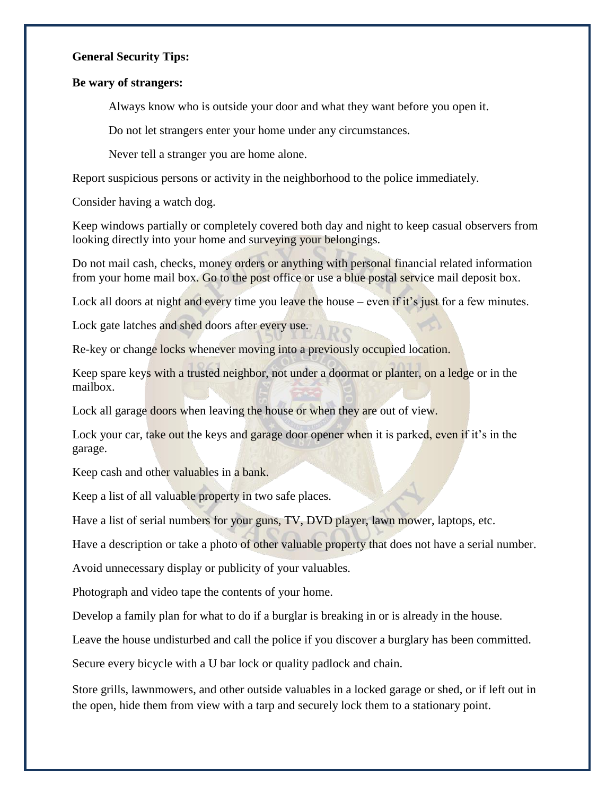#### **General Security Tips:**

#### **Be wary of strangers:**

Always know who is outside your door and what they want before you open it.

Do not let strangers enter your home under any circumstances.

Never tell a stranger you are home alone.

Report suspicious persons or activity in the neighborhood to the police immediately.

Consider having a watch dog.

Keep windows partially or completely covered both day and night to keep casual observers from looking directly into your home and surveying your belongings.

Do not mail cash, checks, money orders or anything with personal financial related information from your home mail box. Go to the post office or use a blue postal service mail deposit box.

Lock all doors at night and every time you leave the house – even if it's just for a few minutes.

Lock gate latches and shed doors after every use.

Re-key or change locks whenever moving into a previously occupied location.

Keep spare keys with a trusted neighbor, not under a doormat or planter, on a ledge or in the mailbox.

Lock all garage doors when leaving the house or when they are out of view.

Lock your car, take out the keys and garage door opener when it is parked, even if it's in the garage.

Keep cash and other valuables in a bank.

Keep a list of all valuable property in two safe places.

Have a list of serial numbers for your guns, TV, DVD player, lawn mower, laptops, etc.

Have a description or take a photo of other valuable property that does not have a serial number.

Avoid unnecessary display or publicity of your valuables.

Photograph and video tape the contents of your home.

Develop a family plan for what to do if a burglar is breaking in or is already in the house.

Leave the house undisturbed and call the police if you discover a burglary has been committed.

Secure every bicycle with a U bar lock or quality padlock and chain.

Store grills, lawnmowers, and other outside valuables in a locked garage or shed, or if left out in the open, hide them from view with a tarp and securely lock them to a stationary point.